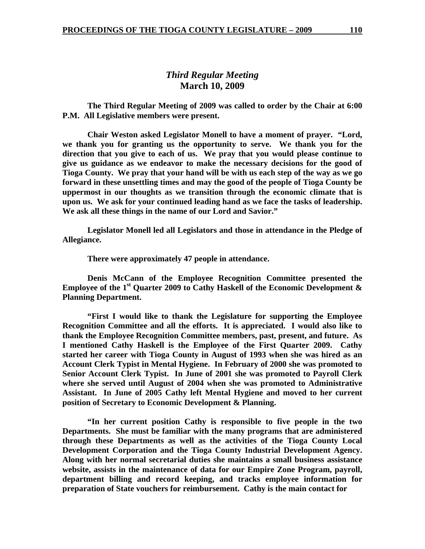# *Third Regular Meeting*  **March 10, 2009**

 **The Third Regular Meeting of 2009 was called to order by the Chair at 6:00 P.M. All Legislative members were present.** 

**Chair Weston asked Legislator Monell to have a moment of prayer. "Lord, we thank you for granting us the opportunity to serve. We thank you for the direction that you give to each of us. We pray that you would please continue to give us guidance as we endeavor to make the necessary decisions for the good of Tioga County. We pray that your hand will be with us each step of the way as we go forward in these unsettling times and may the good of the people of Tioga County be uppermost in our thoughts as we transition through the economic climate that is upon us. We ask for your continued leading hand as we face the tasks of leadership. We ask all these things in the name of our Lord and Savior."** 

 **Legislator Monell led all Legislators and those in attendance in the Pledge of Allegiance.** 

 **There were approximately 47 people in attendance.** 

 **Denis McCann of the Employee Recognition Committee presented the**  Employee of the 1<sup>st</sup> Quarter 2009 to Cathy Haskell of the Economic Development & **Planning Department.** 

 **"First I would like to thank the Legislature for supporting the Employee Recognition Committee and all the efforts. It is appreciated. I would also like to thank the Employee Recognition Committee members, past, present, and future. As I mentioned Cathy Haskell is the Employee of the First Quarter 2009. Cathy started her career with Tioga County in August of 1993 when she was hired as an Account Clerk Typist in Mental Hygiene. In February of 2000 she was promoted to Senior Account Clerk Typist. In June of 2001 she was promoted to Payroll Clerk where she served until August of 2004 when she was promoted to Administrative Assistant. In June of 2005 Cathy left Mental Hygiene and moved to her current position of Secretary to Economic Development & Planning.** 

 **"In her current position Cathy is responsible to five people in the two Departments. She must be familiar with the many programs that are administered through these Departments as well as the activities of the Tioga County Local Development Corporation and the Tioga County Industrial Development Agency. Along with her normal secretarial duties she maintains a small business assistance website, assists in the maintenance of data for our Empire Zone Program, payroll, department billing and record keeping, and tracks employee information for preparation of State vouchers for reimbursement. Cathy is the main contact for**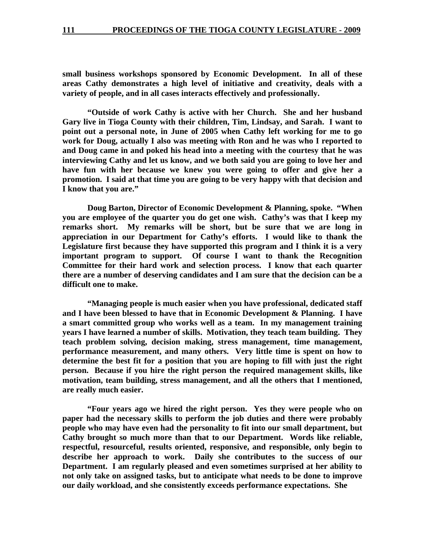**small business workshops sponsored by Economic Development. In all of these areas Cathy demonstrates a high level of initiative and creativity, deals with a variety of people, and in all cases interacts effectively and professionally.** 

 **"Outside of work Cathy is active with her Church. She and her husband Gary live in Tioga County with their children, Tim, Lindsay, and Sarah. I want to point out a personal note, in June of 2005 when Cathy left working for me to go work for Doug, actually I also was meeting with Ron and he was who I reported to and Doug came in and poked his head into a meeting with the courtesy that he was interviewing Cathy and let us know, and we both said you are going to love her and have fun with her because we knew you were going to offer and give her a promotion. I said at that time you are going to be very happy with that decision and I know that you are."** 

 **Doug Barton, Director of Economic Development & Planning, spoke. "When you are employee of the quarter you do get one wish. Cathy's was that I keep my remarks short. My remarks will be short, but be sure that we are long in appreciation in our Department for Cathy's efforts. I would like to thank the Legislature first because they have supported this program and I think it is a very important program to support. Of course I want to thank the Recognition Committee for their hard work and selection process. I know that each quarter there are a number of deserving candidates and I am sure that the decision can be a difficult one to make.** 

 **"Managing people is much easier when you have professional, dedicated staff and I have been blessed to have that in Economic Development & Planning. I have a smart committed group who works well as a team. In my management training years I have learned a number of skills. Motivation, they teach team building. They teach problem solving, decision making, stress management, time management, performance measurement, and many others. Very little time is spent on how to determine the best fit for a position that you are hoping to fill with just the right person. Because if you hire the right person the required management skills, like motivation, team building, stress management, and all the others that I mentioned, are really much easier.** 

 **"Four years ago we hired the right person. Yes they were people who on paper had the necessary skills to perform the job duties and there were probably people who may have even had the personality to fit into our small department, but Cathy brought so much more than that to our Department. Words like reliable, respectful, resourceful, results oriented, responsive, and responsible, only begin to describe her approach to work. Daily she contributes to the success of our Department. I am regularly pleased and even sometimes surprised at her ability to not only take on assigned tasks, but to anticipate what needs to be done to improve our daily workload, and she consistently exceeds performance expectations. She**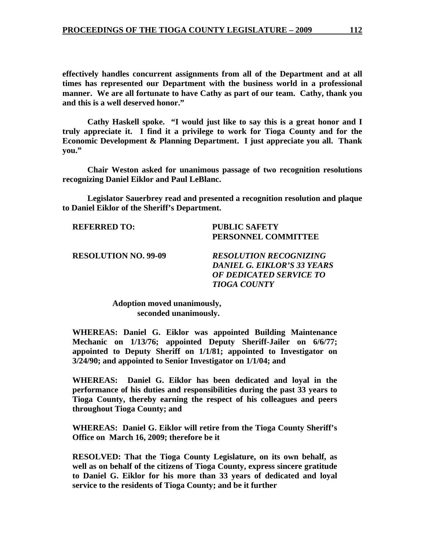**effectively handles concurrent assignments from all of the Department and at all times has represented our Department with the business world in a professional manner. We are all fortunate to have Cathy as part of our team. Cathy, thank you and this is a well deserved honor."** 

 **Cathy Haskell spoke. "I would just like to say this is a great honor and I truly appreciate it. I find it a privilege to work for Tioga County and for the Economic Development & Planning Department. I just appreciate you all. Thank you."** 

 **Chair Weston asked for unanimous passage of two recognition resolutions recognizing Daniel Eiklor and Paul LeBlanc.** 

 **Legislator Sauerbrey read and presented a recognition resolution and plaque to Daniel Eiklor of the Sheriff's Department.** 

**REFERRED TO: PUBLIC SAFETY** 

 **PERSONNEL COMMITTEE** 

**RESOLUTION NO. 99-09** *RESOLUTION RECOGNIZING DANIEL G. EIKLOR'S 33 YEARS OF DEDICATED SERVICE TO TIOGA COUNTY* 

> **Adoption moved unanimously, seconded unanimously.**

**WHEREAS: Daniel G. Eiklor was appointed Building Maintenance Mechanic on 1/13/76; appointed Deputy Sheriff-Jailer on 6/6/77; appointed to Deputy Sheriff on 1/1/81; appointed to Investigator on 3/24/90; and appointed to Senior Investigator on 1/1/04; and** 

**WHEREAS: Daniel G. Eiklor has been dedicated and loyal in the performance of his duties and responsibilities during the past 33 years to Tioga County, thereby earning the respect of his colleagues and peers throughout Tioga County; and** 

**WHEREAS: Daniel G. Eiklor will retire from the Tioga County Sheriff's Office on March 16, 2009; therefore be it** 

**RESOLVED: That the Tioga County Legislature, on its own behalf, as well as on behalf of the citizens of Tioga County, express sincere gratitude to Daniel G. Eiklor for his more than 33 years of dedicated and loyal service to the residents of Tioga County; and be it further**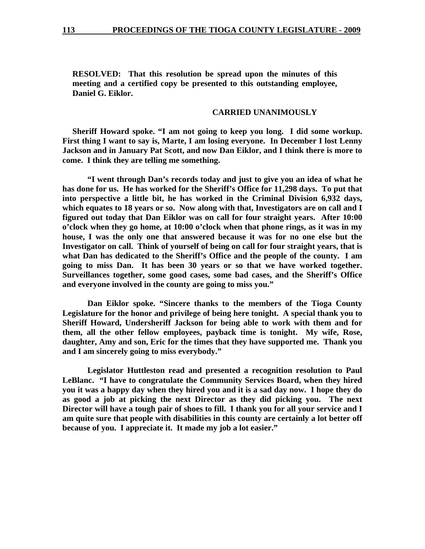**RESOLVED: That this resolution be spread upon the minutes of this meeting and a certified copy be presented to this outstanding employee, Daniel G. Eiklor.** 

#### **CARRIED UNANIMOUSLY**

**Sheriff Howard spoke. "I am not going to keep you long. I did some workup. First thing I want to say is, Marte, I am losing everyone. In December I lost Lenny Jackson and in January Pat Scott, and now Dan Eiklor, and I think there is more to come. I think they are telling me something.** 

**"I went through Dan's records today and just to give you an idea of what he has done for us. He has worked for the Sheriff's Office for 11,298 days. To put that into perspective a little bit, he has worked in the Criminal Division 6,932 days, which equates to 18 years or so. Now along with that, Investigators are on call and I figured out today that Dan Eiklor was on call for four straight years. After 10:00 o'clock when they go home, at 10:00 o'clock when that phone rings, as it was in my house, I was the only one that answered because it was for no one else but the Investigator on call. Think of yourself of being on call for four straight years, that is what Dan has dedicated to the Sheriff's Office and the people of the county. I am going to miss Dan. It has been 30 years or so that we have worked together. Surveillances together, some good cases, some bad cases, and the Sheriff's Office and everyone involved in the county are going to miss you."** 

**Dan Eiklor spoke. "Sincere thanks to the members of the Tioga County Legislature for the honor and privilege of being here tonight. A special thank you to Sheriff Howard, Undersheriff Jackson for being able to work with them and for them, all the other fellow employees, payback time is tonight. My wife, Rose, daughter, Amy and son, Eric for the times that they have supported me. Thank you and I am sincerely going to miss everybody."** 

 **Legislator Huttleston read and presented a recognition resolution to Paul LeBlanc. "I have to congratulate the Community Services Board, when they hired you it was a happy day when they hired you and it is a sad day now. I hope they do as good a job at picking the next Director as they did picking you. The next Director will have a tough pair of shoes to fill. I thank you for all your service and I am quite sure that people with disabilities in this county are certainly a lot better off because of you. I appreciate it. It made my job a lot easier."**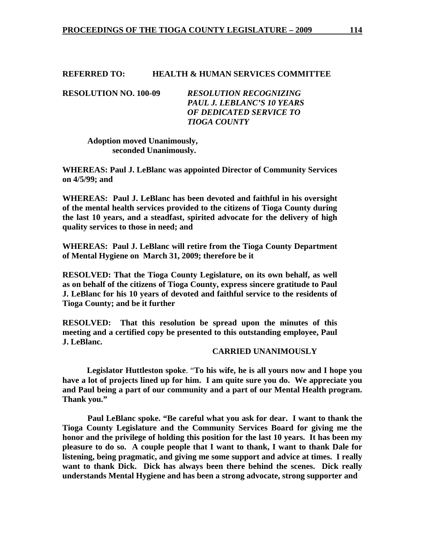#### **REFERRED TO: HEALTH & HUMAN SERVICES COMMITTEE**

**RESOLUTION NO. 100-09** *RESOLUTION RECOGNIZING PAUL J. LEBLANC'S 10 YEARS OF DEDICATED SERVICE TO TIOGA COUNTY* 

> **Adoption moved Unanimously, seconded Unanimously.**

**WHEREAS: Paul J. LeBlanc was appointed Director of Community Services on 4/5/99; and** 

**WHEREAS: Paul J. LeBlanc has been devoted and faithful in his oversight of the mental health services provided to the citizens of Tioga County during the last 10 years, and a steadfast, spirited advocate for the delivery of high quality services to those in need; and** 

**WHEREAS: Paul J. LeBlanc will retire from the Tioga County Department of Mental Hygiene on March 31, 2009; therefore be it** 

**RESOLVED: That the Tioga County Legislature, on its own behalf, as well as on behalf of the citizens of Tioga County, express sincere gratitude to Paul J. LeBlanc for his 10 years of devoted and faithful service to the residents of Tioga County; and be it further** 

**RESOLVED: That this resolution be spread upon the minutes of this meeting and a certified copy be presented to this outstanding employee, Paul J. LeBlanc.** 

#### **CARRIED UNANIMOUSLY**

 **Legislator Huttleston spoke**. "**To his wife, he is all yours now and I hope you have a lot of projects lined up for him. I am quite sure you do. We appreciate you and Paul being a part of our community and a part of our Mental Health program. Thank you."** 

**Paul LeBlanc spoke. "Be careful what you ask for dear. I want to thank the Tioga County Legislature and the Community Services Board for giving me the honor and the privilege of holding this position for the last 10 years. It has been my pleasure to do so. A couple people that I want to thank, I want to thank Dale for listening, being pragmatic, and giving me some support and advice at times. I really want to thank Dick. Dick has always been there behind the scenes. Dick really understands Mental Hygiene and has been a strong advocate, strong supporter and**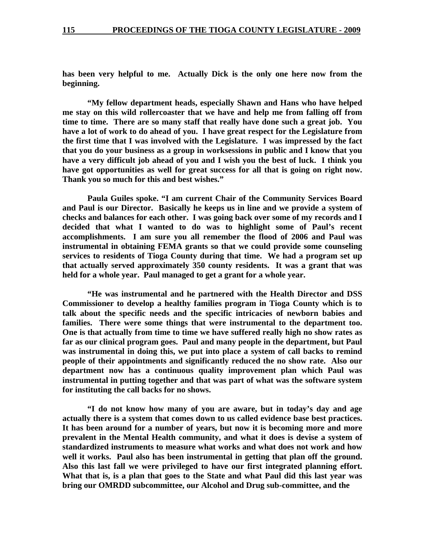**has been very helpful to me. Actually Dick is the only one here now from the beginning.** 

**"My fellow department heads, especially Shawn and Hans who have helped me stay on this wild rollercoaster that we have and help me from falling off from time to time. There are so many staff that really have done such a great job. You have a lot of work to do ahead of you. I have great respect for the Legislature from the first time that I was involved with the Legislature. I was impressed by the fact that you do your business as a group in worksessions in public and I know that you have a very difficult job ahead of you and I wish you the best of luck. I think you have got opportunities as well for great success for all that is going on right now. Thank you so much for this and best wishes."** 

**Paula Guiles spoke. "I am current Chair of the Community Services Board and Paul is our Director. Basically he keeps us in line and we provide a system of checks and balances for each other. I was going back over some of my records and I decided that what I wanted to do was to highlight some of Paul's recent accomplishments. I am sure you all remember the flood of 2006 and Paul was instrumental in obtaining FEMA grants so that we could provide some counseling services to residents of Tioga County during that time. We had a program set up that actually served approximately 350 county residents. It was a grant that was held for a whole year. Paul managed to get a grant for a whole year.** 

**"He was instrumental and he partnered with the Health Director and DSS Commissioner to develop a healthy families program in Tioga County which is to talk about the specific needs and the specific intricacies of newborn babies and families. There were some things that were instrumental to the department too. One is that actually from time to time we have suffered really high no show rates as far as our clinical program goes. Paul and many people in the department, but Paul was instrumental in doing this, we put into place a system of call backs to remind people of their appointments and significantly reduced the no show rate. Also our department now has a continuous quality improvement plan which Paul was instrumental in putting together and that was part of what was the software system for instituting the call backs for no shows.** 

**"I do not know how many of you are aware, but in today's day and age actually there is a system that comes down to us called evidence base best practices. It has been around for a number of years, but now it is becoming more and more prevalent in the Mental Health community, and what it does is devise a system of standardized instruments to measure what works and what does not work and how well it works. Paul also has been instrumental in getting that plan off the ground. Also this last fall we were privileged to have our first integrated planning effort. What that is, is a plan that goes to the State and what Paul did this last year was bring our OMRDD subcommittee, our Alcohol and Drug sub-committee, and the**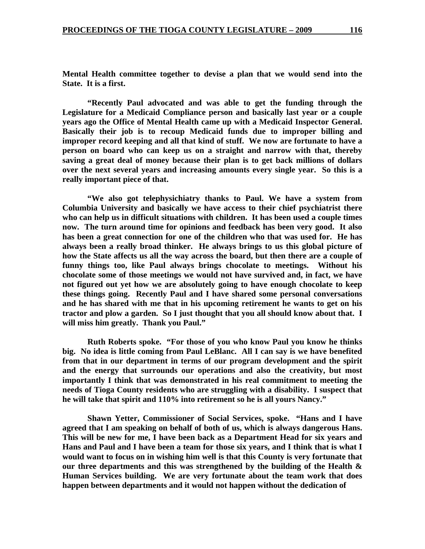**Mental Health committee together to devise a plan that we would send into the State. It is a first.** 

**"Recently Paul advocated and was able to get the funding through the Legislature for a Medicaid Compliance person and basically last year or a couple years ago the Office of Mental Health came up with a Medicaid Inspector General. Basically their job is to recoup Medicaid funds due to improper billing and improper record keeping and all that kind of stuff. We now are fortunate to have a person on board who can keep us on a straight and narrow with that, thereby saving a great deal of money because their plan is to get back millions of dollars over the next several years and increasing amounts every single year. So this is a really important piece of that.** 

**"We also got telephysichiatry thanks to Paul. We have a system from Columbia University and basically we have access to their chief psychiatrist there who can help us in difficult situations with children. It has been used a couple times now. The turn around time for opinions and feedback has been very good. It also has been a great connection for one of the children who that was used for. He has always been a really broad thinker. He always brings to us this global picture of how the State affects us all the way across the board, but then there are a couple of funny things too, like Paul always brings chocolate to meetings. Without his chocolate some of those meetings we would not have survived and, in fact, we have not figured out yet how we are absolutely going to have enough chocolate to keep these things going. Recently Paul and I have shared some personal conversations and he has shared with me that in his upcoming retirement he wants to get on his tractor and plow a garden. So I just thought that you all should know about that. I will miss him greatly. Thank you Paul."** 

 **Ruth Roberts spoke. "For those of you who know Paul you know he thinks big. No idea is little coming from Paul LeBlanc. All I can say is we have benefited from that in our department in terms of our program development and the spirit and the energy that surrounds our operations and also the creativity, but most importantly I think that was demonstrated in his real commitment to meeting the needs of Tioga County residents who are struggling with a disability. I suspect that he will take that spirit and 110% into retirement so he is all yours Nancy."** 

 **Shawn Yetter, Commissioner of Social Services, spoke. "Hans and I have agreed that I am speaking on behalf of both of us, which is always dangerous Hans. This will be new for me, I have been back as a Department Head for six years and Hans and Paul and I have been a team for those six years, and I think that is what I would want to focus on in wishing him well is that this County is very fortunate that our three departments and this was strengthened by the building of the Health & Human Services building. We are very fortunate about the team work that does happen between departments and it would not happen without the dedication of**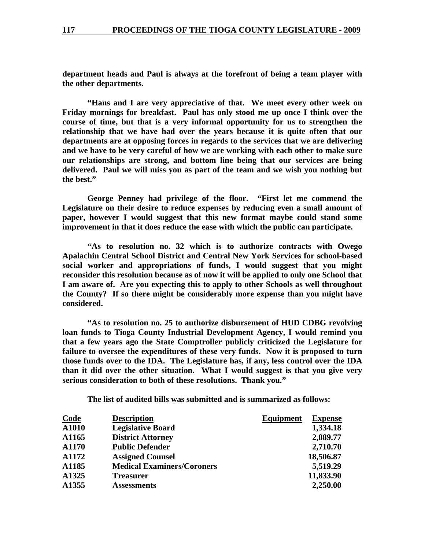**department heads and Paul is always at the forefront of being a team player with the other departments.** 

 **"Hans and I are very appreciative of that. We meet every other week on Friday mornings for breakfast. Paul has only stood me up once I think over the course of time, but that is a very informal opportunity for us to strengthen the relationship that we have had over the years because it is quite often that our departments are at opposing forces in regards to the services that we are delivering and we have to be very careful of how we are working with each other to make sure our relationships are strong, and bottom line being that our services are being delivered. Paul we will miss you as part of the team and we wish you nothing but the best."** 

 **George Penney had privilege of the floor. "First let me commend the Legislature on their desire to reduce expenses by reducing even a small amount of paper, however I would suggest that this new format maybe could stand some improvement in that it does reduce the ease with which the public can participate.** 

 **"As to resolution no. 32 which is to authorize contracts with Owego Apalachin Central School District and Central New York Services for school-based social worker and appropriations of funds, I would suggest that you might reconsider this resolution because as of now it will be applied to only one School that I am aware of. Are you expecting this to apply to other Schools as well throughout the County? If so there might be considerably more expense than you might have considered.** 

 **"As to resolution no. 25 to authorize disbursement of HUD CDBG revolving loan funds to Tioga County Industrial Development Agency, I would remind you that a few years ago the State Comptroller publicly criticized the Legislature for failure to oversee the expenditures of these very funds. Now it is proposed to turn those funds over to the IDA. The Legislature has, if any, less control over the IDA than it did over the other situation. What I would suggest is that you give very serious consideration to both of these resolutions. Thank you."** 

**The list of audited bills was submitted and is summarized as follows:** 

| <b>Code</b> | <b>Description</b>                | Equipment | <b>Expense</b> |
|-------------|-----------------------------------|-----------|----------------|
| A1010       | <b>Legislative Board</b>          |           | 1,334.18       |
| A1165       | <b>District Attorney</b>          |           | 2,889.77       |
| A1170       | <b>Public Defender</b>            |           | 2,710.70       |
| A1172       | <b>Assigned Counsel</b>           |           | 18,506.87      |
| A1185       | <b>Medical Examiners/Coroners</b> |           | 5,519.29       |
| A1325       | <b>Treasurer</b>                  |           | 11,833.90      |
| A1355       | <b>Assessments</b>                |           | 2,250.00       |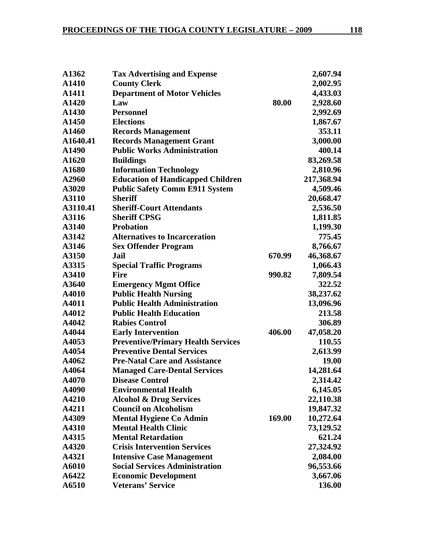| A1362    | <b>Tax Advertising and Expense</b>        |        | 2,607.94   |
|----------|-------------------------------------------|--------|------------|
| A1410    | <b>County Clerk</b>                       |        | 2,002.95   |
| A1411    | <b>Department of Motor Vehicles</b>       |        | 4,433.03   |
| A1420    | Law                                       | 80.00  | 2,928.60   |
| A1430    | <b>Personnel</b>                          |        | 2,992.69   |
| A1450    | <b>Elections</b>                          |        | 1,867.67   |
| A1460    | <b>Records Management</b>                 |        | 353.11     |
| A1640.41 | <b>Records Management Grant</b>           |        | 3,000.00   |
| A1490    | <b>Public Works Administration</b>        |        | 400.14     |
| A1620    | <b>Buildings</b>                          |        | 83,269.58  |
| A1680    | <b>Information Technology</b>             |        | 2,810.96   |
| A2960    | <b>Education of Handicapped Children</b>  |        | 217,368.94 |
| A3020    | <b>Public Safety Comm E911 System</b>     |        | 4,509.46   |
| A3110    | <b>Sheriff</b>                            |        | 20,668.47  |
| A3110.41 | <b>Sheriff-Court Attendants</b>           |        | 2,536.50   |
| A3116    | <b>Sheriff CPSG</b>                       |        | 1,811.85   |
| A3140    | <b>Probation</b>                          |        | 1,199.30   |
| A3142    | <b>Alternatives to Incarceration</b>      |        | 775.45     |
| A3146    | <b>Sex Offender Program</b>               |        | 8,766.67   |
| A3150    | Jail                                      | 670.99 | 46,368.67  |
| A3315    | <b>Special Traffic Programs</b>           |        | 1,066.43   |
| A3410    | <b>Fire</b>                               | 990.82 | 7,809.54   |
| A3640    | <b>Emergency Mgmt Office</b>              |        | 322.52     |
| A4010    | <b>Public Health Nursing</b>              |        | 38,237.62  |
| A4011    | <b>Public Health Administration</b>       |        | 13,096.96  |
| A4012    | <b>Public Health Education</b>            |        | 213.58     |
| A4042    | <b>Rabies Control</b>                     |        | 306.89     |
| A4044    | <b>Early Intervention</b>                 | 406.00 | 47,058.20  |
| A4053    | <b>Preventive/Primary Health Services</b> |        | 110.55     |
| A4054    | <b>Preventive Dental Services</b>         |        | 2,613.99   |
| A4062    | <b>Pre-Natal Care and Assistance</b>      |        | 19.00      |
| A4064    | <b>Managed Care-Dental Services</b>       |        | 14,281.64  |
| A4070    | <b>Disease Control</b>                    |        | 2,314.42   |
| A4090    | <b>Environmental Health</b>               |        | 6,145.05   |
| A4210    | <b>Alcohol &amp; Drug Services</b>        |        | 22,110.38  |
| A4211    | <b>Council on Alcoholism</b>              |        | 19,847.32  |
| A4309    | <b>Mental Hygiene Co Admin</b>            | 169.00 | 10,272.64  |
| A4310    | <b>Mental Health Clinic</b>               |        | 73,129.52  |
| A4315    | <b>Mental Retardation</b>                 |        | 621.24     |
| A4320    | <b>Crisis Intervention Services</b>       |        | 27,324.92  |
| A4321    | <b>Intensive Case Management</b>          |        | 2,084.00   |
| A6010    | <b>Social Services Administration</b>     |        | 96,553.66  |
| A6422    | <b>Economic Development</b>               |        | 3,667.06   |
| A6510    | <b>Veterans' Service</b>                  |        | 136.00     |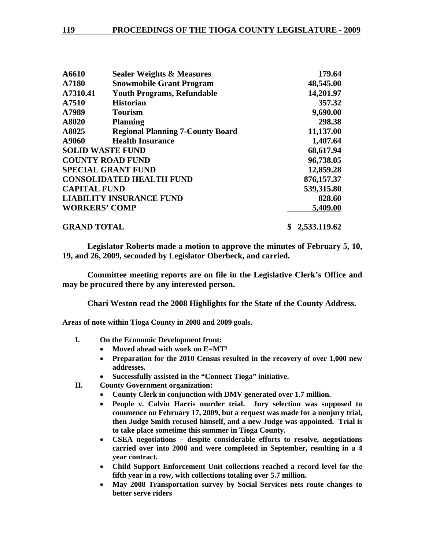| A6610                | <b>Sealer Weights &amp; Measures</b>    | 179.64             |
|----------------------|-----------------------------------------|--------------------|
| A7180                | <b>Snowmobile Grant Program</b>         | 48,545.00          |
| A7310.41             | <b>Youth Programs, Refundable</b>       | 14,201.97          |
| A7510                | <b>Historian</b>                        | 357.32             |
| A7989                | <b>Tourism</b>                          | 9,690.00           |
| A8020                | <b>Planning</b>                         | 298.38             |
| A8025                | <b>Regional Planning 7-County Board</b> | 11,137.00          |
| A9060                | <b>Health Insurance</b>                 | 1,407.64           |
|                      | <b>SOLID WASTE FUND</b>                 | 68,617.94          |
|                      | <b>COUNTY ROAD FUND</b>                 | 96,738.05          |
|                      | <b>SPECIAL GRANT FUND</b>               | 12,859.28          |
|                      | <b>CONSOLIDATED HEALTH FUND</b>         | 876,157.37         |
| <b>CAPITAL FUND</b>  |                                         | 539,315.80         |
|                      | <b>LIABILITY INSURANCE FUND</b>         | 828.60             |
| <b>WORKERS' COMP</b> |                                         | 5,409.00           |
| <b>GRAND TOTAL</b>   |                                         | 2,533,119.62<br>\$ |

**Legislator Roberts made a motion to approve the minutes of February 5, 10, 19, and 26, 2009, seconded by Legislator Oberbeck, and carried.** 

**Committee meeting reports are on file in the Legislative Clerk's Office and may be procured there by any interested person.** 

**Chari Weston read the 2008 Highlights for the State of the County Address.** 

**Areas of note within Tioga County in 2008 and 2009 goals.** 

- **I. On the Economic Development front:** 
	- **Moved ahead with work on E=MT³**
	- **Preparation for the 2010 Census resulted in the recovery of over 1,000 new addresses.**
	- **Successfully assisted in the "Connect Tioga" initiative.**
- **II. County Government organization:** 
	- **County Clerk in conjunction with DMV generated over 1.7 million.**
	- **People v. Calvin Harris murder trial. Jury selection was supposed to commence on February 17, 2009, but a request was made for a nonjury trial, then Judge Smith recused himself, and a new Judge was appointed. Trial is to take place sometime this summer in Tioga County.**
	- **CSEA negotiations despite considerable efforts to resolve, negotiations carried over into 2008 and were completed in September, resulting in a 4 year contract.**
	- **Child Support Enforcement Unit collections reached a record level for the fifth year in a row, with collections totaling over 5.7 million.**
	- **May 2008 Transportation survey by Social Services nets route changes to better serve riders**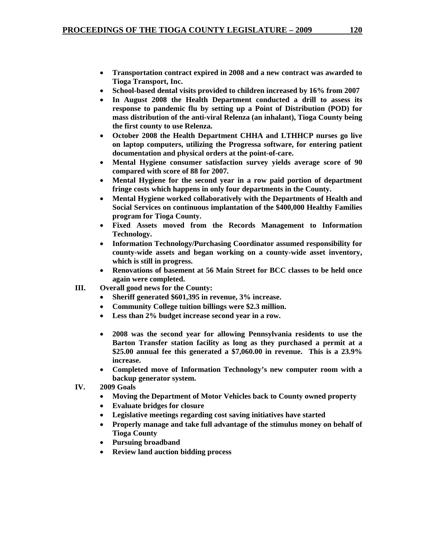- **Transportation contract expired in 2008 and a new contract was awarded to Tioga Transport, Inc.**
- **School-based dental visits provided to children increased by 16% from 2007**
- **In August 2008 the Health Department conducted a drill to assess its response to pandemic flu by setting up a Point of Distribution (POD) for mass distribution of the anti-viral Relenza (an inhalant), Tioga County being the first county to use Relenza.**
- **October 2008 the Health Department CHHA and LTHHCP nurses go live on laptop computers, utilizing the Progressa software, for entering patient documentation and physical orders at the point-of-care.**
- **Mental Hygiene consumer satisfaction survey yields average score of 90 compared with score of 88 for 2007.**
- **Mental Hygiene for the second year in a row paid portion of department fringe costs which happens in only four departments in the County.**
- **Mental Hygiene worked collaboratively with the Departments of Health and Social Services on continuous implantation of the \$400,000 Healthy Families program for Tioga County.**
- **Fixed Assets moved from the Records Management to Information Technology.**
- **Information Technology/Purchasing Coordinator assumed responsibility for county-wide assets and began working on a county-wide asset inventory, which is still in progress.**
- **Renovations of basement at 56 Main Street for BCC classes to be held once again were completed.**
- **III. Overall good news for the County:** 
	- **Sheriff generated \$601,395 in revenue, 3% increase.**
	- **Community College tuition billings were \$2.3 million.**
	- **Less than 2% budget increase second year in a row.**
	- **2008 was the second year for allowing Pennsylvania residents to use the Barton Transfer station facility as long as they purchased a permit at a \$25.00 annual fee this generated a \$7,060.00 in revenue. This is a 23.9% increase.**
	- **Completed move of Information Technology's new computer room with a backup generator system.**
- **IV. 2009 Goals** 
	- **Moving the Department of Motor Vehicles back to County owned property**
	- **Evaluate bridges for closure**
	- **Legislative meetings regarding cost saving initiatives have started**
	- **Properly manage and take full advantage of the stimulus money on behalf of Tioga County**
	- **Pursuing broadband**
	- **Review land auction bidding process**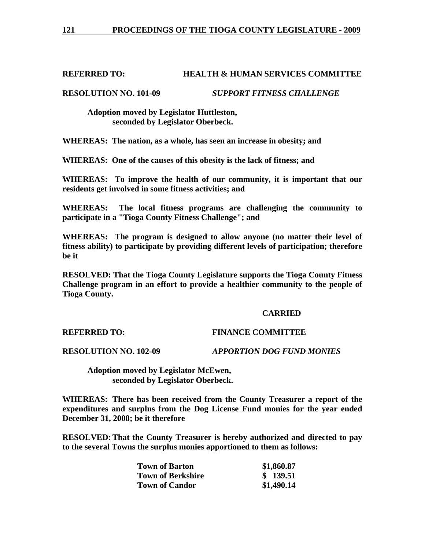# **REFERRED TO: HEALTH & HUMAN SERVICES COMMITTEE**

**RESOLUTION NO. 101-09** *SUPPORT FITNESS CHALLENGE*

 **Adoption moved by Legislator Huttleston, seconded by Legislator Oberbeck.** 

**WHEREAS: The nation, as a whole, has seen an increase in obesity; and** 

**WHEREAS: One of the causes of this obesity is the lack of fitness; and** 

**WHEREAS: To improve the health of our community, it is important that our residents get involved in some fitness activities; and** 

**WHEREAS: The local fitness programs are challenging the community to participate in a "Tioga County Fitness Challenge"; and** 

**WHEREAS: The program is designed to allow anyone (no matter their level of fitness ability) to participate by providing different levels of participation; therefore be it** 

**RESOLVED: That the Tioga County Legislature supports the Tioga County Fitness Challenge program in an effort to provide a healthier community to the people of Tioga County.** 

#### **CARRIED**

# **REFERRED TO: FINANCE COMMITTEE**

**RESOLUTION NO. 102-09** *APPORTION DOG FUND MONIES*

 **Adoption moved by Legislator McEwen, seconded by Legislator Oberbeck.** 

**WHEREAS: There has been received from the County Treasurer a report of the expenditures and surplus from the Dog License Fund monies for the year ended December 31, 2008; be it therefore** 

**RESOLVED: That the County Treasurer is hereby authorized and directed to pay to the several Towns the surplus monies apportioned to them as follows:** 

| <b>Town of Barton</b>    | \$1,860.87 |
|--------------------------|------------|
| <b>Town of Berkshire</b> | \$139.51   |
| <b>Town of Candor</b>    | \$1,490.14 |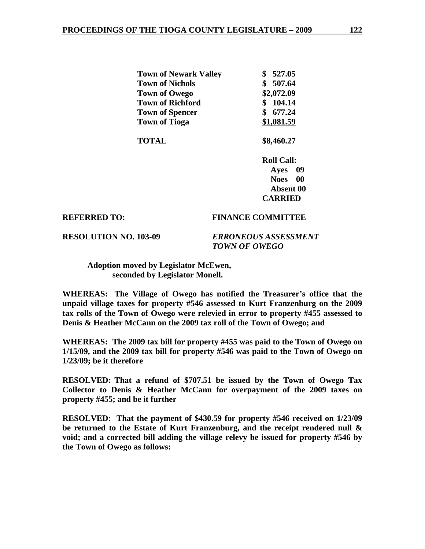| <b>Town of Newark Valley</b> | \$527.05   |
|------------------------------|------------|
| <b>Town of Nichols</b>       | \$507.64   |
| Town of Owego                | \$2,072.09 |
| <b>Town of Richford</b>      | 104.14     |
| <b>Town of Spencer</b>       | \$677.24   |
| <b>Town of Tioga</b>         | \$1,081.59 |
|                              |            |

 **TOTAL \$8,460.27** 

 **Roll Call: Ayes 09 Noes 00 Absent 00 CARRIED** 

#### **REFERRED TO: FINANCE COMMITTEE**

**RESOLUTION NO. 103-09** *ERRONEOUS ASSESSMENT TOWN OF OWEGO* 

 **Adoption moved by Legislator McEwen, seconded by Legislator Monell.** 

**WHEREAS: The Village of Owego has notified the Treasurer's office that the unpaid village taxes for property #546 assessed to Kurt Franzenburg on the 2009 tax rolls of the Town of Owego were relevied in error to property #455 assessed to Denis & Heather McCann on the 2009 tax roll of the Town of Owego; and** 

**WHEREAS: The 2009 tax bill for property #455 was paid to the Town of Owego on 1/15/09, and the 2009 tax bill for property #546 was paid to the Town of Owego on 1/23/09; be it therefore** 

**RESOLVED: That a refund of \$707.51 be issued by the Town of Owego Tax Collector to Denis & Heather McCann for overpayment of the 2009 taxes on property #455; and be it further** 

**RESOLVED: That the payment of \$430.59 for property #546 received on 1/23/09 be returned to the Estate of Kurt Franzenburg, and the receipt rendered null & void; and a corrected bill adding the village relevy be issued for property #546 by the Town of Owego as follows:**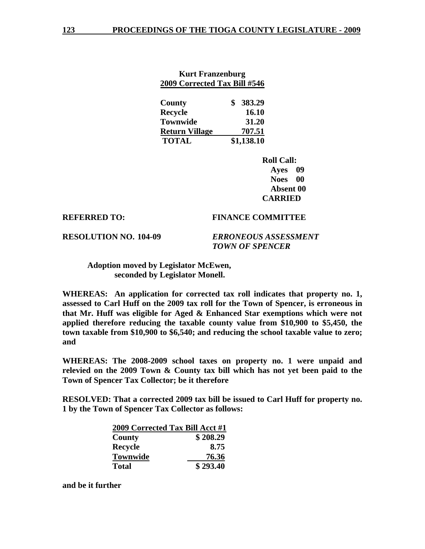| <b>Kurt Franzenburg</b><br>2009 Corrected Tax Bill #546 |              |  |
|---------------------------------------------------------|--------------|--|
| <b>County</b>                                           | 383.29<br>\$ |  |
| <b>Recycle</b>                                          | 16.10        |  |
| <b>Townwide</b>                                         | 31.20        |  |
| <b>Return Village</b>                                   | 707.51       |  |
| <b>TOTAL</b>                                            | \$1,138.10   |  |

 **Roll Call: Ayes 09 Noes 00 Absent 00 CARRIED** 

#### **REFERRED TO: FINANCE COMMITTEE**

**RESOLUTION NO. 104-09** *ERRONEOUS ASSESSMENT* 

 *TOWN OF SPENCER* 

 **Adoption moved by Legislator McEwen, seconded by Legislator Monell.** 

**WHEREAS: An application for corrected tax roll indicates that property no. 1, assessed to Carl Huff on the 2009 tax roll for the Town of Spencer, is erroneous in that Mr. Huff was eligible for Aged & Enhanced Star exemptions which were not applied therefore reducing the taxable county value from \$10,900 to \$5,450, the town taxable from \$10,900 to \$6,540; and reducing the school taxable value to zero; and** 

**WHEREAS: The 2008-2009 school taxes on property no. 1 were unpaid and relevied on the 2009 Town & County tax bill which has not yet been paid to the Town of Spencer Tax Collector; be it therefore** 

**RESOLVED: That a corrected 2009 tax bill be issued to Carl Huff for property no. 1 by the Town of Spencer Tax Collector as follows:** 

| 2009 Corrected Tax Bill Acct #1 |          |
|---------------------------------|----------|
| County                          | \$208.29 |
| <b>Recycle</b>                  | 8.75     |
| <b>Townwide</b>                 | 76.36    |
| <b>Total</b>                    | \$293.40 |

**and be it further**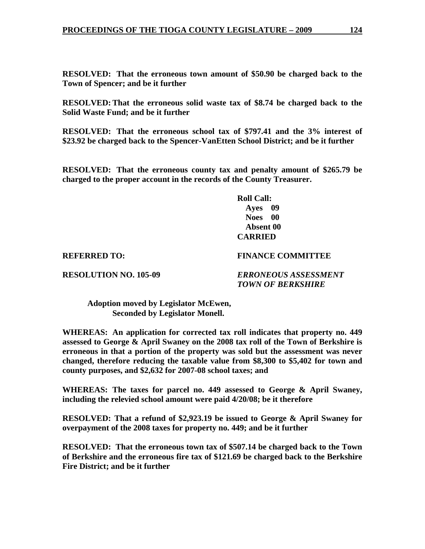**RESOLVED: That the erroneous town amount of \$50.90 be charged back to the Town of Spencer; and be it further** 

**RESOLVED: That the erroneous solid waste tax of \$8.74 be charged back to the Solid Waste Fund; and be it further** 

**RESOLVED: That the erroneous school tax of \$797.41 and the 3% interest of \$23.92 be charged back to the Spencer-VanEtten School District; and be it further** 

**RESOLVED: That the erroneous county tax and penalty amount of \$265.79 be charged to the proper account in the records of the County Treasurer.** 

> **Roll Call: Ayes 09 Noes 00 Absent 00 CARRIED**

**REFERRED TO: FINANCE COMMITTEE** 

**RESOLUTION NO. 105-09** *ERRONEOUS ASSESSMENT TOWN OF BERKSHIRE* 

 **Adoption moved by Legislator McEwen, Seconded by Legislator Monell.** 

**WHEREAS: An application for corrected tax roll indicates that property no. 449 assessed to George & April Swaney on the 2008 tax roll of the Town of Berkshire is erroneous in that a portion of the property was sold but the assessment was never changed, therefore reducing the taxable value from \$8,300 to \$5,402 for town and county purposes, and \$2,632 for 2007-08 school taxes; and** 

**WHEREAS: The taxes for parcel no. 449 assessed to George & April Swaney, including the relevied school amount were paid 4/20/08; be it therefore** 

**RESOLVED: That a refund of \$2,923.19 be issued to George & April Swaney for overpayment of the 2008 taxes for property no. 449; and be it further** 

**RESOLVED: That the erroneous town tax of \$507.14 be charged back to the Town of Berkshire and the erroneous fire tax of \$121.69 be charged back to the Berkshire Fire District; and be it further**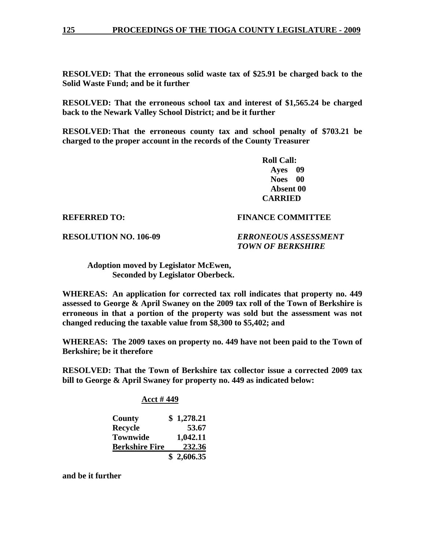**RESOLVED: That the erroneous solid waste tax of \$25.91 be charged back to the Solid Waste Fund; and be it further** 

**RESOLVED: That the erroneous school tax and interest of \$1,565.24 be charged back to the Newark Valley School District; and be it further** 

**RESOLVED: That the erroneous county tax and school penalty of \$703.21 be charged to the proper account in the records of the County Treasurer** 

> **Roll Call: Ayes 09 Noes 00 Absent 00 CARRIED**

#### **REFERRED TO: FINANCE COMMITTEE**

**RESOLUTION NO. 106-09** *ERRONEOUS ASSESSMENT* 

 *TOWN OF BERKSHIRE*

 **Adoption moved by Legislator McEwen, Seconded by Legislator Oberbeck.** 

**WHEREAS: An application for corrected tax roll indicates that property no. 449 assessed to George & April Swaney on the 2009 tax roll of the Town of Berkshire is erroneous in that a portion of the property was sold but the assessment was not changed reducing the taxable value from \$8,300 to \$5,402; and** 

**WHEREAS: The 2009 taxes on property no. 449 have not been paid to the Town of Berkshire; be it therefore** 

**RESOLVED: That the Town of Berkshire tax collector issue a corrected 2009 tax bill to George & April Swaney for property no. 449 as indicated below:** 

#### **Acct # 449**

| County                | \$1,278.21 |
|-----------------------|------------|
| <b>Recycle</b>        | 53.67      |
| <b>Townwide</b>       | 1,042.11   |
| <b>Berkshire Fire</b> | 232.36     |
|                       | \$2,606.35 |

**and be it further**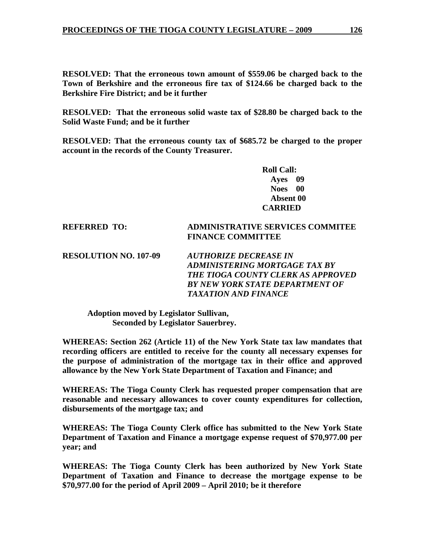**RESOLVED: That the erroneous town amount of \$559.06 be charged back to the Town of Berkshire and the erroneous fire tax of \$124.66 be charged back to the Berkshire Fire District; and be it further** 

**RESOLVED: That the erroneous solid waste tax of \$28.80 be charged back to the Solid Waste Fund; and be it further** 

**RESOLVED: That the erroneous county tax of \$685.72 be charged to the proper account in the records of the County Treasurer.** 

> **Roll Call: Ayes 09 Noes 00 Absent 00 CARRIED**

#### **REFERRED TO: ADMINISTRATIVE SERVICES COMMITEE FINANCE COMMITTEE**

**RESOLUTION NO. 107-09** *AUTHORIZE DECREASE IN ADMINISTERING MORTGAGE TAX BY THE TIOGA COUNTY CLERK AS APPROVED BY NEW YORK STATE DEPARTMENT OF TAXATION AND FINANCE* 

**Adoption moved by Legislator Sullivan, Seconded by Legislator Sauerbrey.** 

**WHEREAS: Section 262 (Article 11) of the New York State tax law mandates that recording officers are entitled to receive for the county all necessary expenses for the purpose of administration of the mortgage tax in their office and approved allowance by the New York State Department of Taxation and Finance; and** 

**WHEREAS: The Tioga County Clerk has requested proper compensation that are reasonable and necessary allowances to cover county expenditures for collection, disbursements of the mortgage tax; and** 

**WHEREAS: The Tioga County Clerk office has submitted to the New York State Department of Taxation and Finance a mortgage expense request of \$70,977.00 per year; and** 

**WHEREAS: The Tioga County Clerk has been authorized by New York State Department of Taxation and Finance to decrease the mortgage expense to be \$70,977.00 for the period of April 2009 – April 2010; be it therefore**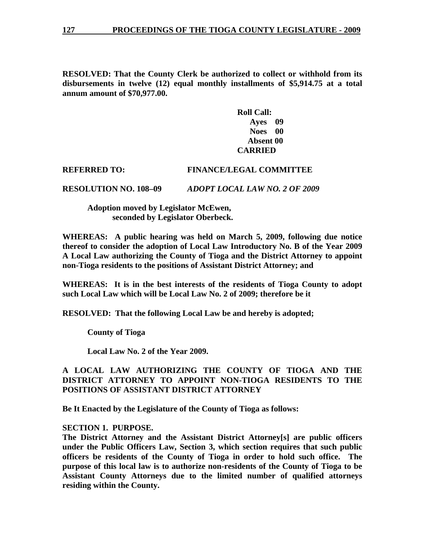**RESOLVED: That the County Clerk be authorized to collect or withhold from its disbursements in twelve (12) equal monthly installments of \$5,914.75 at a total annum amount of \$70,977.00.** 

> **Roll Call: Ayes 09 Noes 00 Absent 00 CARRIED**

### **REFERRED TO: FINANCE/LEGAL COMMITTEE**

**RESOLUTION NO. 108–09** *ADOPT LOCAL LAW NO. 2 OF 2009*

 **Adoption moved by Legislator McEwen, seconded by Legislator Oberbeck.** 

**WHEREAS: A public hearing was held on March 5, 2009, following due notice thereof to consider the adoption of Local Law Introductory No. B of the Year 2009 A Local Law authorizing the County of Tioga and the District Attorney to appoint non-Tioga residents to the positions of Assistant District Attorney; and** 

**WHEREAS: It is in the best interests of the residents of Tioga County to adopt such Local Law which will be Local Law No. 2 of 2009; therefore be it** 

**RESOLVED: That the following Local Law be and hereby is adopted;** 

 **County of Tioga** 

 **Local Law No. 2 of the Year 2009.** 

# **A LOCAL LAW AUTHORIZING THE COUNTY OF TIOGA AND THE DISTRICT ATTORNEY TO APPOINT NON-TIOGA RESIDENTS TO THE POSITIONS OF ASSISTANT DISTRICT ATTORNEY**

**Be It Enacted by the Legislature of the County of Tioga as follows:** 

#### **SECTION 1. PURPOSE.**

**The District Attorney and the Assistant District Attorney[s] are public officers under the Public Officers Law, Section 3, which section requires that such public officers be residents of the County of Tioga in order to hold such office. The purpose of this local law is to authorize non-residents of the County of Tioga to be Assistant County Attorneys due to the limited number of qualified attorneys residing within the County.**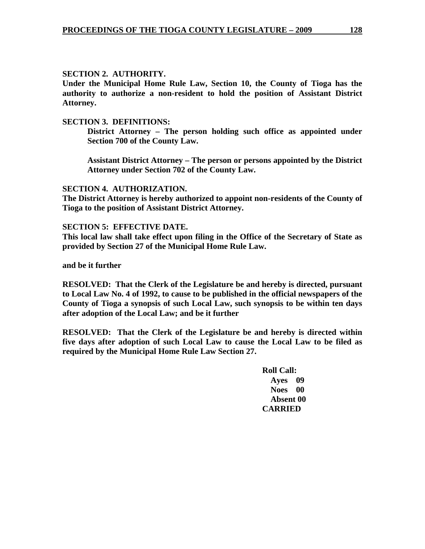# **SECTION 2. AUTHORITY.**

**Under the Municipal Home Rule Law, Section 10, the County of Tioga has the authority to authorize a non-resident to hold the position of Assistant District Attorney.** 

### **SECTION 3. DEFINITIONS:**

**District Attorney – The person holding such office as appointed under Section 700 of the County Law.** 

**Assistant District Attorney – The person or persons appointed by the District Attorney under Section 702 of the County Law.** 

#### **SECTION 4. AUTHORIZATION.**

**The District Attorney is hereby authorized to appoint non-residents of the County of Tioga to the position of Assistant District Attorney.** 

#### **SECTION 5: EFFECTIVE DATE.**

**This local law shall take effect upon filing in the Office of the Secretary of State as provided by Section 27 of the Municipal Home Rule Law.** 

**and be it further** 

**RESOLVED: That the Clerk of the Legislature be and hereby is directed, pursuant to Local Law No. 4 of 1992, to cause to be published in the official newspapers of the County of Tioga a synopsis of such Local Law, such synopsis to be within ten days after adoption of the Local Law; and be it further** 

**RESOLVED: That the Clerk of the Legislature be and hereby is directed within five days after adoption of such Local Law to cause the Local Law to be filed as required by the Municipal Home Rule Law Section 27.** 

> **Roll Call: Ayes 09 Noes 00 Absent 00 CARRIED**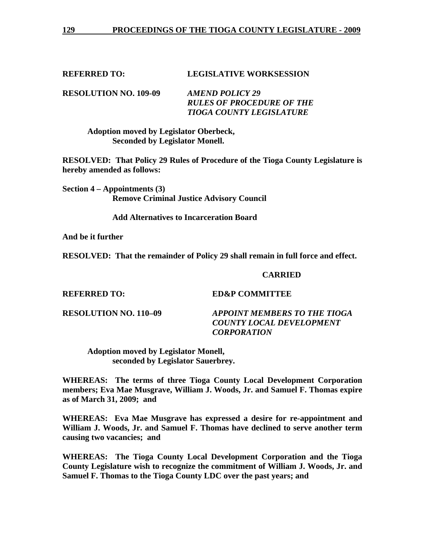### **REFERRED TO: LEGISLATIVE WORKSESSION**

**RESOLUTION NO. 109-09** *AMEND POLICY 29 RULES OF PROCEDURE OF THE TIOGA COUNTY LEGISLATURE* 

 **Adoption moved by Legislator Oberbeck, Seconded by Legislator Monell.** 

**RESOLVED: That Policy 29 Rules of Procedure of the Tioga County Legislature is hereby amended as follows:** 

**Section 4 – Appointments (3) Remove Criminal Justice Advisory Council** 

 **Add Alternatives to Incarceration Board** 

**And be it further** 

**RESOLVED: That the remainder of Policy 29 shall remain in full force and effect.** 

#### **CARRIED**

**REFERRED TO: ED&P COMMITTEE** 

**RESOLUTION NO. 110–09** *APPOINT MEMBERS TO THE TIOGA COUNTY LOCAL DEVELOPMENT CORPORATION* 

 **Adoption moved by Legislator Monell, seconded by Legislator Sauerbrey.** 

**WHEREAS: The terms of three Tioga County Local Development Corporation members; Eva Mae Musgrave, William J. Woods, Jr. and Samuel F. Thomas expire as of March 31, 2009; and** 

**WHEREAS: Eva Mae Musgrave has expressed a desire for re-appointment and William J. Woods, Jr. and Samuel F. Thomas have declined to serve another term causing two vacancies; and** 

**WHEREAS: The Tioga County Local Development Corporation and the Tioga County Legislature wish to recognize the commitment of William J. Woods, Jr. and Samuel F. Thomas to the Tioga County LDC over the past years; and**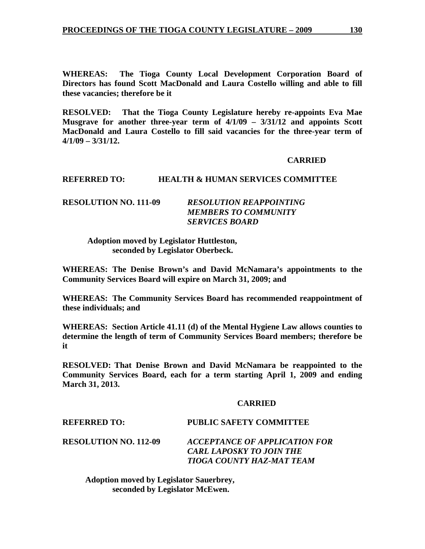**WHEREAS: The Tioga County Local Development Corporation Board of Directors has found Scott MacDonald and Laura Costello willing and able to fill these vacancies; therefore be it** 

**RESOLVED: That the Tioga County Legislature hereby re-appoints Eva Mae Musgrave for another three-year term of 4/1/09 – 3/31/12 and appoints Scott MacDonald and Laura Costello to fill said vacancies for the three-year term of 4/1/09 – 3/31/12.** 

#### **CARRIED**

# **REFERRED TO: HEALTH & HUMAN SERVICES COMMITTEE**

# **RESOLUTION NO. 111-09** *RESOLUTION REAPPOINTING MEMBERS TO COMMUNITY SERVICES BOARD*

 **Adoption moved by Legislator Huttleston, seconded by Legislator Oberbeck.** 

**WHEREAS: The Denise Brown's and David McNamara's appointments to the Community Services Board will expire on March 31, 2009; and** 

**WHEREAS: The Community Services Board has recommended reappointment of these individuals; and** 

**WHEREAS: Section Article 41.11 (d) of the Mental Hygiene Law allows counties to determine the length of term of Community Services Board members; therefore be it** 

**RESOLVED: That Denise Brown and David McNamara be reappointed to the Community Services Board, each for a term starting April 1, 2009 and ending March 31, 2013.** 

#### **CARRIED**

# **REFERRED TO: PUBLIC SAFETY COMMITTEE**

**RESOLUTION NO. 112-09** *ACCEPTANCE OF APPLICATION FOR CARL LAPOSKY TO JOIN THE TIOGA COUNTY HAZ-MAT TEAM* 

 **Adoption moved by Legislator Sauerbrey, seconded by Legislator McEwen.**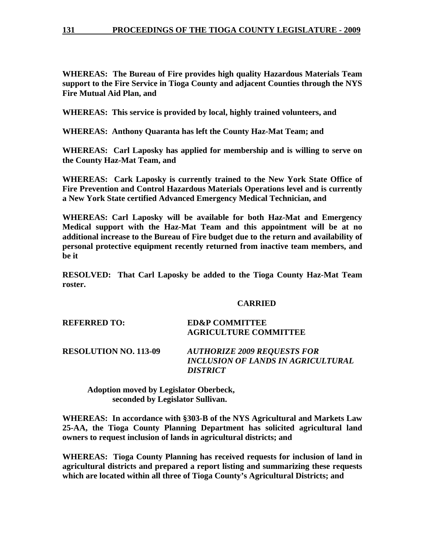**WHEREAS: The Bureau of Fire provides high quality Hazardous Materials Team support to the Fire Service in Tioga County and adjacent Counties through the NYS Fire Mutual Aid Plan, and** 

**WHEREAS: This service is provided by local, highly trained volunteers, and** 

**WHEREAS: Anthony Quaranta has left the County Haz-Mat Team; and** 

**WHEREAS: Carl Laposky has applied for membership and is willing to serve on the County Haz-Mat Team, and** 

**WHEREAS: Cark Laposky is currently trained to the New York State Office of Fire Prevention and Control Hazardous Materials Operations level and is currently a New York State certified Advanced Emergency Medical Technician, and** 

**WHEREAS: Carl Laposky will be available for both Haz-Mat and Emergency Medical support with the Haz-Mat Team and this appointment will be at no additional increase to the Bureau of Fire budget due to the return and availability of personal protective equipment recently returned from inactive team members, and be it** 

**RESOLVED: That Carl Laposky be added to the Tioga County Haz-Mat Team roster.** 

# **CARRIED**

| <b>REFERRED TO:</b>          | <b>ED&amp;P COMMITTEE</b><br><b>AGRICULTURE COMMITTEE</b>                       |
|------------------------------|---------------------------------------------------------------------------------|
| <b>RESOLUTION NO. 113-09</b> | <b>AUTHORIZE 2009 REQUESTS FOR</b><br><b>INCLUSION OF LANDS IN AGRICULTURAL</b> |

*DISTRICT* 

 **Adoption moved by Legislator Oberbeck, seconded by Legislator Sullivan.** 

**WHEREAS: In accordance with §303-B of the NYS Agricultural and Markets Law 25-AA, the Tioga County Planning Department has solicited agricultural land owners to request inclusion of lands in agricultural districts; and** 

**WHEREAS: Tioga County Planning has received requests for inclusion of land in agricultural districts and prepared a report listing and summarizing these requests which are located within all three of Tioga County's Agricultural Districts; and**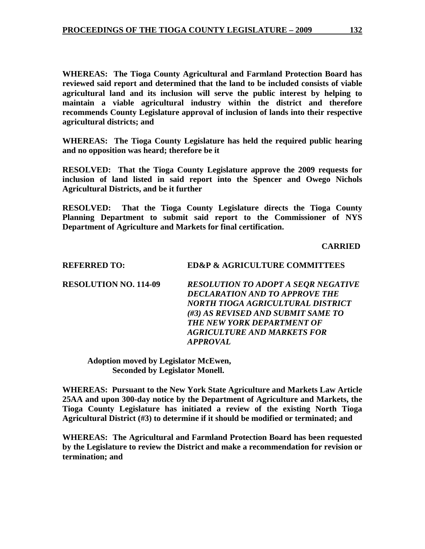**WHEREAS: The Tioga County Agricultural and Farmland Protection Board has reviewed said report and determined that the land to be included consists of viable agricultural land and its inclusion will serve the public interest by helping to maintain a viable agricultural industry within the district and therefore recommends County Legislature approval of inclusion of lands into their respective agricultural districts; and** 

**WHEREAS: The Tioga County Legislature has held the required public hearing and no opposition was heard; therefore be it** 

**RESOLVED: That the Tioga County Legislature approve the 2009 requests for inclusion of land listed in said report into the Spencer and Owego Nichols Agricultural Districts, and be it further** 

**RESOLVED: That the Tioga County Legislature directs the Tioga County Planning Department to submit said report to the Commissioner of NYS Department of Agriculture and Markets for final certification.** 

 **CARRIED** 

| <b>REFERRED TO:</b>          | <b>ED&amp;P &amp; AGRICULTURE COMMITTEES</b> |
|------------------------------|----------------------------------------------|
| <b>RESOLUTION NO. 114-09</b> | RESOLUTION TO ADOPT A SEQR NEGATIVE          |
|                              | <b>DECLARATION AND TO APPROVE THE</b>        |
|                              | NORTH TIOGA AGRICULTURAL DISTRICT            |
|                              | (#3) AS REVISED AND SUBMIT SAME TO           |
|                              | <b>THE NEW YORK DEPARTMENT OF</b>            |
|                              | <b>AGRICULTURE AND MARKETS FOR</b>           |
|                              | <b>APPROVAL</b>                              |
|                              |                                              |

**Adoption moved by Legislator McEwen, Seconded by Legislator Monell.** 

**WHEREAS: Pursuant to the New York State Agriculture and Markets Law Article 25AA and upon 300-day notice by the Department of Agriculture and Markets, the Tioga County Legislature has initiated a review of the existing North Tioga Agricultural District (#3) to determine if it should be modified or terminated; and** 

**WHEREAS: The Agricultural and Farmland Protection Board has been requested by the Legislature to review the District and make a recommendation for revision or termination; and**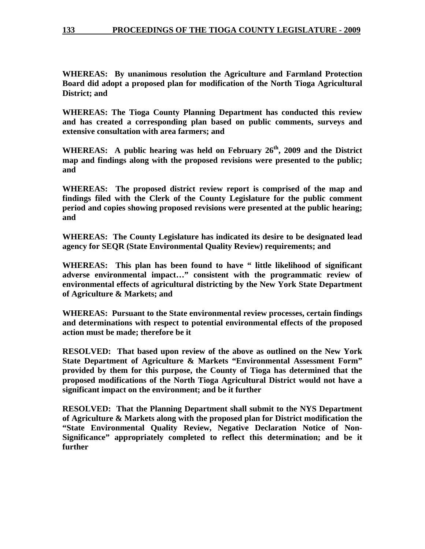**WHEREAS: By unanimous resolution the Agriculture and Farmland Protection Board did adopt a proposed plan for modification of the North Tioga Agricultural District; and** 

**WHEREAS: The Tioga County Planning Department has conducted this review and has created a corresponding plan based on public comments, surveys and extensive consultation with area farmers; and** 

**WHEREAS: A public hearing was held on February 26th, 2009 and the District map and findings along with the proposed revisions were presented to the public; and** 

**WHEREAS: The proposed district review report is comprised of the map and findings filed with the Clerk of the County Legislature for the public comment period and copies showing proposed revisions were presented at the public hearing; and** 

**WHEREAS: The County Legislature has indicated its desire to be designated lead agency for SEQR (State Environmental Quality Review) requirements; and** 

WHEREAS: This plan has been found to have " little likelihood of significant **adverse environmental impact…" consistent with the programmatic review of environmental effects of agricultural districting by the New York State Department of Agriculture & Markets; and** 

**WHEREAS: Pursuant to the State environmental review processes, certain findings and determinations with respect to potential environmental effects of the proposed action must be made; therefore be it** 

**RESOLVED: That based upon review of the above as outlined on the New York State Department of Agriculture & Markets "Environmental Assessment Form" provided by them for this purpose, the County of Tioga has determined that the proposed modifications of the North Tioga Agricultural District would not have a significant impact on the environment; and be it further** 

**RESOLVED: That the Planning Department shall submit to the NYS Department of Agriculture & Markets along with the proposed plan for District modification the "State Environmental Quality Review, Negative Declaration Notice of Non-Significance" appropriately completed to reflect this determination; and be it further**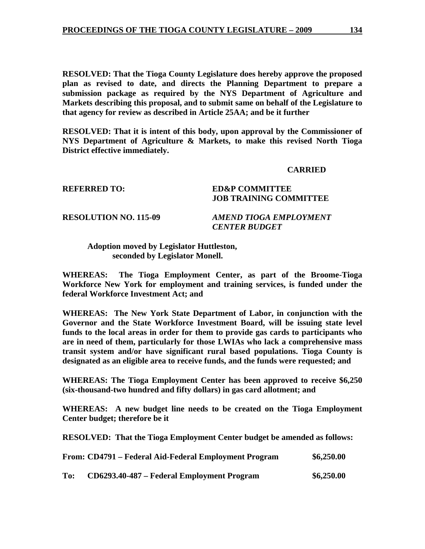**RESOLVED: That the Tioga County Legislature does hereby approve the proposed plan as revised to date, and directs the Planning Department to prepare a submission package as required by the NYS Department of Agriculture and Markets describing this proposal, and to submit same on behalf of the Legislature to that agency for review as described in Article 25AA; and be it further** 

**RESOLVED: That it is intent of this body, upon approval by the Commissioner of NYS Department of Agriculture & Markets, to make this revised North Tioga District effective immediately.** 

#### **CARRIED**

#### **REFERRED TO: ED&P COMMITTEE**

# **JOB TRAINING COMMITTEE**

**RESOLUTION NO. 115-09** *AMEND TIOGA EMPLOYMENT CENTER BUDGET* 

### **Adoption moved by Legislator Huttleston, seconded by Legislator Monell.**

**WHEREAS: The Tioga Employment Center, as part of the Broome-Tioga Workforce New York for employment and training services, is funded under the federal Workforce Investment Act; and** 

**WHEREAS: The New York State Department of Labor, in conjunction with the Governor and the State Workforce Investment Board, will be issuing state level funds to the local areas in order for them to provide gas cards to participants who are in need of them, particularly for those LWIAs who lack a comprehensive mass transit system and/or have significant rural based populations. Tioga County is designated as an eligible area to receive funds, and the funds were requested; and** 

**WHEREAS: The Tioga Employment Center has been approved to receive \$6,250 (six-thousand-two hundred and fifty dollars) in gas card allotment; and** 

**WHEREAS: A new budget line needs to be created on the Tioga Employment Center budget; therefore be it** 

**RESOLVED: That the Tioga Employment Center budget be amended as follows:** 

|     | From: CD4791 – Federal Aid-Federal Employment Program | \$6,250.00 |
|-----|-------------------------------------------------------|------------|
| To: | CD6293.40-487 – Federal Employment Program            | \$6,250.00 |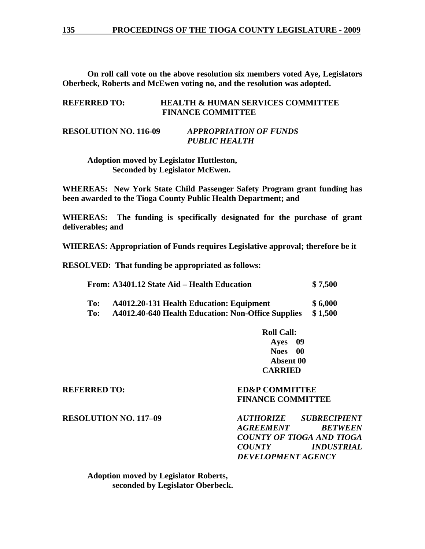**On roll call vote on the above resolution six members voted Aye, Legislators Oberbeck, Roberts and McEwen voting no, and the resolution was adopted.** 

| <b>REFERRED TO:</b> | <b>HEALTH &amp; HUMAN SERVICES COMMITTEE</b> |
|---------------------|----------------------------------------------|
|                     | <b>FINANCE COMMITTEE</b>                     |

# **RESOLUTION NO. 116-09** *APPROPRIATION OF FUNDS PUBLIC HEALTH*

 **Adoption moved by Legislator Huttleston, Seconded by Legislator McEwen.** 

**WHEREAS: New York State Child Passenger Safety Program grant funding has been awarded to the Tioga County Public Health Department; and** 

**WHEREAS: The funding is specifically designated for the purchase of grant deliverables; and** 

**WHEREAS: Appropriation of Funds requires Legislative approval; therefore be it** 

**RESOLVED: That funding be appropriated as follows:** 

| From: A3401.12 State Aid – Health Education | \$7,500 |
|---------------------------------------------|---------|
|---------------------------------------------|---------|

| To:            | A4012.20-131 Health Education: Equipment                                                     | \$6,000 |
|----------------|----------------------------------------------------------------------------------------------|---------|
| $\mathbf{r}$ . | $\lambda$ 4012.40 $\lambda$ 40 $\lambda$ Health Educations New Office Curriller $\phi$ 1.500 |         |

**To: A4012.40-640 Health Education: Non-Office Supplies \$ 1,500** 

 **Roll Call: Ayes 09 Noes 00 Absent 00 CARRIED** 

### **REFERRED TO: ED&P COMMITTEE FINANCE COMMITTEE**

**RESOLUTION NO. 117–09** *AUTHORIZE SUBRECIPIENT AGREEMENT BETWEEN COUNTY OF TIOGA AND TIOGA COUNTY INDUSTRIAL DEVELOPMENT AGENCY* 

 **Adoption moved by Legislator Roberts, seconded by Legislator Oberbeck.**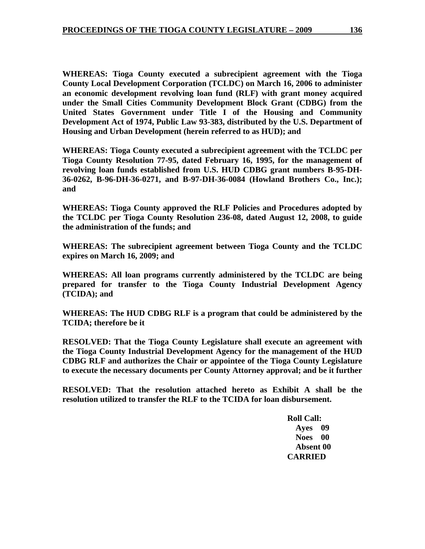**WHEREAS: Tioga County executed a subrecipient agreement with the Tioga County Local Development Corporation (TCLDC) on March 16, 2006 to administer an economic development revolving loan fund (RLF) with grant money acquired under the Small Cities Community Development Block Grant (CDBG) from the United States Government under Title I of the Housing and Community Development Act of 1974, Public Law 93-383, distributed by the U.S. Department of Housing and Urban Development (herein referred to as HUD); and** 

**WHEREAS: Tioga County executed a subrecipient agreement with the TCLDC per Tioga County Resolution 77-95, dated February 16, 1995, for the management of revolving loan funds established from U.S. HUD CDBG grant numbers B-95-DH-36-0262, B-96-DH-36-0271, and B-97-DH-36-0084 (Howland Brothers Co., Inc.); and** 

**WHEREAS: Tioga County approved the RLF Policies and Procedures adopted by the TCLDC per Tioga County Resolution 236-08, dated August 12, 2008, to guide the administration of the funds; and** 

**WHEREAS: The subrecipient agreement between Tioga County and the TCLDC expires on March 16, 2009; and** 

**WHEREAS: All loan programs currently administered by the TCLDC are being prepared for transfer to the Tioga County Industrial Development Agency (TCIDA); and** 

**WHEREAS: The HUD CDBG RLF is a program that could be administered by the TCIDA; therefore be it** 

**RESOLVED: That the Tioga County Legislature shall execute an agreement with the Tioga County Industrial Development Agency for the management of the HUD CDBG RLF and authorizes the Chair or appointee of the Tioga County Legislature to execute the necessary documents per County Attorney approval; and be it further** 

**RESOLVED: That the resolution attached hereto as Exhibit A shall be the resolution utilized to transfer the RLF to the TCIDA for loan disbursement.** 

> **Roll Call: Ayes 09 Noes 00 Absent 00 CARRIED**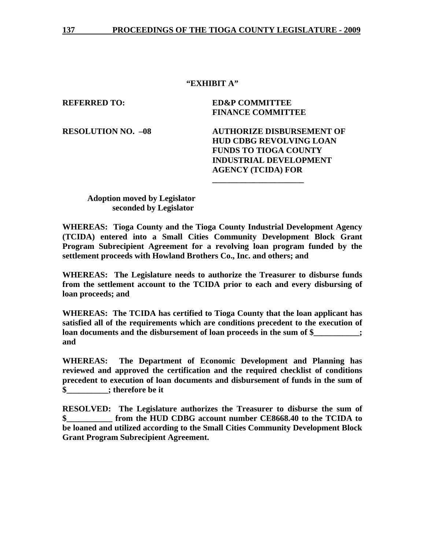# **"EXHIBIT A"**

**REFERRED TO: ED&P COMMITTEE FINANCE COMMITTEE** 

**\_\_\_\_\_\_\_\_\_\_\_\_\_\_\_\_\_\_\_\_\_\_** 

**RESOLUTION NO. –08 AUTHORIZE DISBURSEMENT OF HUD CDBG REVOLVING LOAN FUNDS TO TIOGA COUNTY INDUSTRIAL DEVELOPMENT AGENCY (TCIDA) FOR** 

**Adoption moved by Legislator seconded by Legislator** 

**WHEREAS: Tioga County and the Tioga County Industrial Development Agency (TCIDA) entered into a Small Cities Community Development Block Grant Program Subrecipient Agreement for a revolving loan program funded by the settlement proceeds with Howland Brothers Co., Inc. and others; and** 

**WHEREAS: The Legislature needs to authorize the Treasurer to disburse funds from the settlement account to the TCIDA prior to each and every disbursing of loan proceeds; and** 

**WHEREAS: The TCIDA has certified to Tioga County that the loan applicant has satisfied all of the requirements which are conditions precedent to the execution of loan documents and the disbursement of loan proceeds in the sum of \$**  $\ddots$ **and** 

**WHEREAS: The Department of Economic Development and Planning has reviewed and approved the certification and the required checklist of conditions precedent to execution of loan documents and disbursement of funds in the sum of \$\_\_\_\_\_\_\_\_\_\_; therefore be it** 

**RESOLVED: The Legislature authorizes the Treasurer to disburse the sum of**  from the HUD CDBG account number CE8668.40 to the TCIDA to **be loaned and utilized according to the Small Cities Community Development Block Grant Program Subrecipient Agreement.**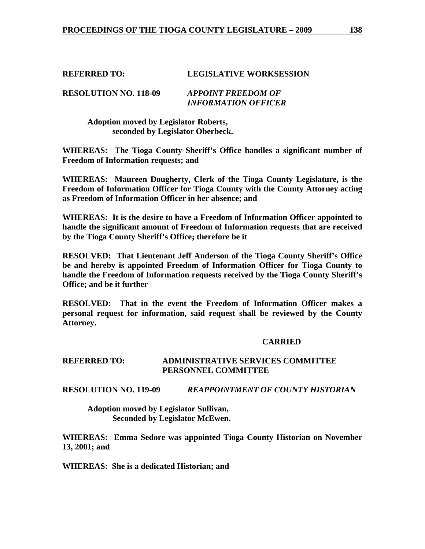#### **REFERRED TO: LEGISLATIVE WORKSESSION**

#### **RESOLUTION NO. 118-09** *APPOINT FREEDOM OF INFORMATION OFFICER*

 **Adoption moved by Legislator Roberts, seconded by Legislator Oberbeck.** 

**WHEREAS: The Tioga County Sheriff's Office handles a significant number of Freedom of Information requests; and** 

**WHEREAS: Maureen Dougherty, Clerk of the Tioga County Legislature, is the Freedom of Information Officer for Tioga County with the County Attorney acting as Freedom of Information Officer in her absence; and** 

**WHEREAS: It is the desire to have a Freedom of Information Officer appointed to handle the significant amount of Freedom of Information requests that are received by the Tioga County Sheriff's Office; therefore be it** 

**RESOLVED: That Lieutenant Jeff Anderson of the Tioga County Sheriff's Office be and hereby is appointed Freedom of Information Officer for Tioga County to handle the Freedom of Information requests received by the Tioga County Sheriff's Office; and be it further** 

**RESOLVED: That in the event the Freedom of Information Officer makes a personal request for information, said request shall be reviewed by the County Attorney.** 

# **CARRIED**

#### **REFERRED TO: ADMINISTRATIVE SERVICES COMMITTEE PERSONNEL COMMITTEE**

**RESOLUTION NO. 119-09** *REAPPOINTMENT OF COUNTY HISTORIAN* 

 **Adoption moved by Legislator Sullivan, Seconded by Legislator McEwen.** 

**WHEREAS: Emma Sedore was appointed Tioga County Historian on November 13, 2001; and** 

**WHEREAS: She is a dedicated Historian; and**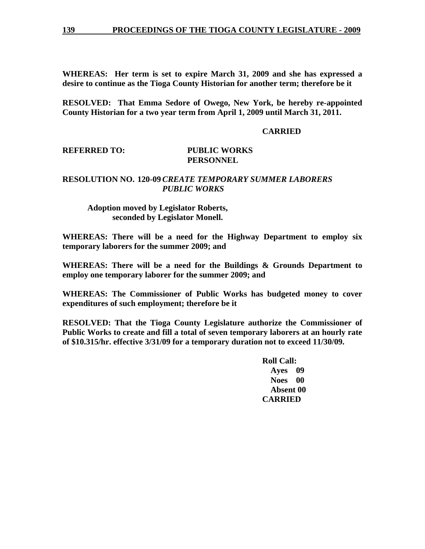**WHEREAS: Her term is set to expire March 31, 2009 and she has expressed a desire to continue as the Tioga County Historian for another term; therefore be it** 

**RESOLVED: That Emma Sedore of Owego, New York, be hereby re-appointed County Historian for a two year term from April 1, 2009 until March 31, 2011.** 

#### **CARRIED**

#### **REFERRED TO: PUBLIC WORKS**

# **PERSONNEL**

# **RESOLUTION NO. 120-09** *CREATE TEMPORARY SUMMER LABORERS PUBLIC WORKS*

# **Adoption moved by Legislator Roberts, seconded by Legislator Monell.**

**WHEREAS: There will be a need for the Highway Department to employ six temporary laborers for the summer 2009; and** 

**WHEREAS: There will be a need for the Buildings & Grounds Department to employ one temporary laborer for the summer 2009; and** 

**WHEREAS: The Commissioner of Public Works has budgeted money to cover expenditures of such employment; therefore be it** 

**RESOLVED: That the Tioga County Legislature authorize the Commissioner of Public Works to create and fill a total of seven temporary laborers at an hourly rate of \$10.315/hr. effective 3/31/09 for a temporary duration not to exceed 11/30/09.** 

> **Roll Call: Ayes 09 Noes 00 Absent 00 CARRIED**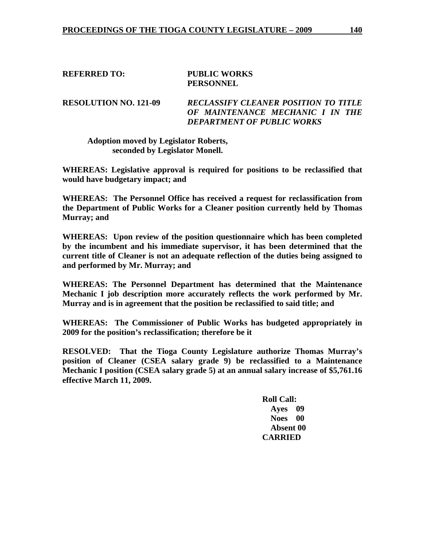# **REFERRED TO: PUBLIC WORKS PERSONNEL**

**RESOLUTION NO. 121-09** *RECLASSIFY CLEANER POSITION TO TITLE OF MAINTENANCE MECHANIC I IN THE DEPARTMENT OF PUBLIC WORKS*

# **Adoption moved by Legislator Roberts, seconded by Legislator Monell.**

**WHEREAS: Legislative approval is required for positions to be reclassified that would have budgetary impact; and** 

**WHEREAS: The Personnel Office has received a request for reclassification from the Department of Public Works for a Cleaner position currently held by Thomas Murray; and** 

**WHEREAS: Upon review of the position questionnaire which has been completed by the incumbent and his immediate supervisor, it has been determined that the current title of Cleaner is not an adequate reflection of the duties being assigned to and performed by Mr. Murray; and** 

**WHEREAS: The Personnel Department has determined that the Maintenance Mechanic I job description more accurately reflects the work performed by Mr. Murray and is in agreement that the position be reclassified to said title; and** 

**WHEREAS: The Commissioner of Public Works has budgeted appropriately in 2009 for the position's reclassification; therefore be it** 

**RESOLVED: That the Tioga County Legislature authorize Thomas Murray's position of Cleaner (CSEA salary grade 9) be reclassified to a Maintenance Mechanic I position (CSEA salary grade 5) at an annual salary increase of \$5,761.16 effective March 11, 2009.** 

> **Roll Call: Ayes 09 Noes 00 Absent 00 CARRIED**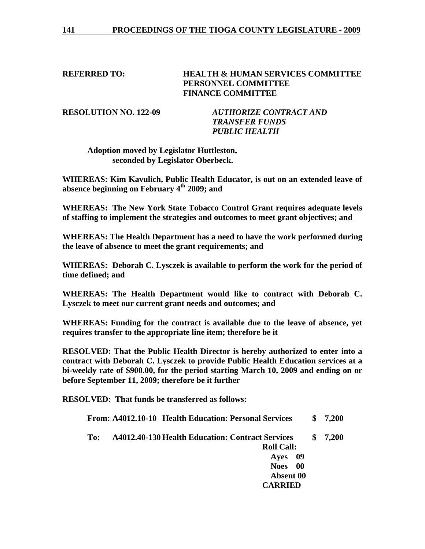# **REFERRED TO: HEALTH & HUMAN SERVICES COMMITTEE PERSONNEL COMMITTEE FINANCE COMMITTEE**

**RESOLUTION NO. 122-09** *AUTHORIZE CONTRACT AND TRANSFER FUNDS PUBLIC HEALTH* 

 **Adoption moved by Legislator Huttleston, seconded by Legislator Oberbeck.** 

**WHEREAS: Kim Kavulich, Public Health Educator, is out on an extended leave of absence beginning on February 4th 2009; and** 

**WHEREAS: The New York State Tobacco Control Grant requires adequate levels of staffing to implement the strategies and outcomes to meet grant objectives; and** 

**WHEREAS: The Health Department has a need to have the work performed during the leave of absence to meet the grant requirements; and** 

**WHEREAS: Deborah C. Lysczek is available to perform the work for the period of time defined; and** 

**WHEREAS: The Health Department would like to contract with Deborah C. Lysczek to meet our current grant needs and outcomes; and** 

**WHEREAS: Funding for the contract is available due to the leave of absence, yet requires transfer to the appropriate line item; therefore be it** 

**RESOLVED: That the Public Health Director is hereby authorized to enter into a contract with Deborah C. Lysczek to provide Public Health Education services at a bi-weekly rate of \$900.00, for the period starting March 10, 2009 and ending on or before September 11, 2009; therefore be it further** 

**RESOLVED: That funds be transferred as follows:** 

**From: A4012.10-10 Health Education: Personal Services \$ 7,200** 

**To: A4012.40-130 Health Education: Contract Services \$ 7,200 Roll Call:** 

 **Ayes 09 Noes 00 Absent 00 CARRIED**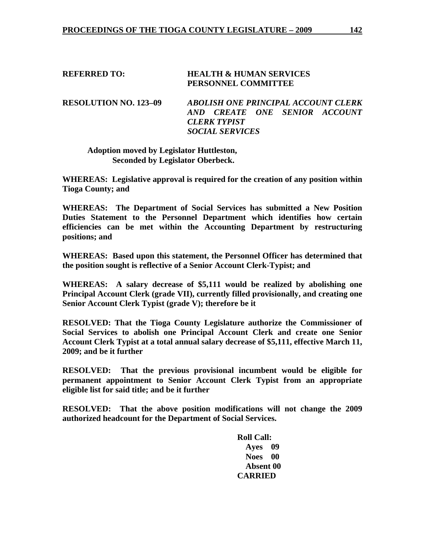#### **REFERRED TO: HEALTH & HUMAN SERVICES PERSONNEL COMMITTEE**

**RESOLUTION NO. 123–09** *ABOLISH ONE PRINCIPAL ACCOUNT CLERK AND CREATE ONE SENIOR ACCOUNT CLERK TYPIST SOCIAL SERVICES* 

# **Adoption moved by Legislator Huttleston, Seconded by Legislator Oberbeck.**

**WHEREAS: Legislative approval is required for the creation of any position within Tioga County; and** 

**WHEREAS: The Department of Social Services has submitted a New Position Duties Statement to the Personnel Department which identifies how certain efficiencies can be met within the Accounting Department by restructuring positions; and** 

**WHEREAS: Based upon this statement, the Personnel Officer has determined that the position sought is reflective of a Senior Account Clerk-Typist; and** 

**WHEREAS: A salary decrease of \$5,111 would be realized by abolishing one Principal Account Clerk (grade VII), currently filled provisionally, and creating one Senior Account Clerk Typist (grade V); therefore be it** 

**RESOLVED: That the Tioga County Legislature authorize the Commissioner of Social Services to abolish one Principal Account Clerk and create one Senior Account Clerk Typist at a total annual salary decrease of \$5,111, effective March 11, 2009; and be it further** 

**RESOLVED: That the previous provisional incumbent would be eligible for permanent appointment to Senior Account Clerk Typist from an appropriate eligible list for said title; and be it further** 

**RESOLVED: That the above position modifications will not change the 2009 authorized headcount for the Department of Social Services.** 

> **Roll Call: Ayes 09 Noes 00 Absent 00 CARRIED**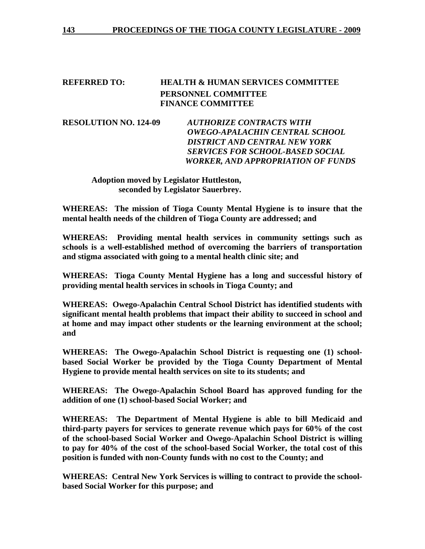# **REFERRED TO: HEALTH & HUMAN SERVICES COMMITTEE PERSONNEL COMMITTEE FINANCE COMMITTEE**

**RESOLUTION NO. 124-09** *AUTHORIZE CONTRACTS WITH OWEGO-APALACHIN CENTRAL SCHOOL DISTRICT AND CENTRAL NEW YORK SERVICES FOR SCHOOL-BASED SOCIAL WORKER, AND APPROPRIATION OF FUNDS* 

 **Adoption moved by Legislator Huttleston, seconded by Legislator Sauerbrey.** 

**WHEREAS: The mission of Tioga County Mental Hygiene is to insure that the mental health needs of the children of Tioga County are addressed; and** 

**WHEREAS: Providing mental health services in community settings such as schools is a well-established method of overcoming the barriers of transportation and stigma associated with going to a mental health clinic site; and** 

**WHEREAS: Tioga County Mental Hygiene has a long and successful history of providing mental health services in schools in Tioga County; and** 

**WHEREAS: Owego-Apalachin Central School District has identified students with significant mental health problems that impact their ability to succeed in school and at home and may impact other students or the learning environment at the school; and** 

**WHEREAS: The Owego-Apalachin School District is requesting one (1) schoolbased Social Worker be provided by the Tioga County Department of Mental Hygiene to provide mental health services on site to its students; and** 

**WHEREAS: The Owego-Apalachin School Board has approved funding for the addition of one (1) school-based Social Worker; and** 

**WHEREAS: The Department of Mental Hygiene is able to bill Medicaid and third-party payers for services to generate revenue which pays for 60% of the cost of the school-based Social Worker and Owego-Apalachin School District is willing to pay for 40% of the cost of the school-based Social Worker, the total cost of this position is funded with non-County funds with no cost to the County; and** 

**WHEREAS: Central New York Services is willing to contract to provide the schoolbased Social Worker for this purpose; and**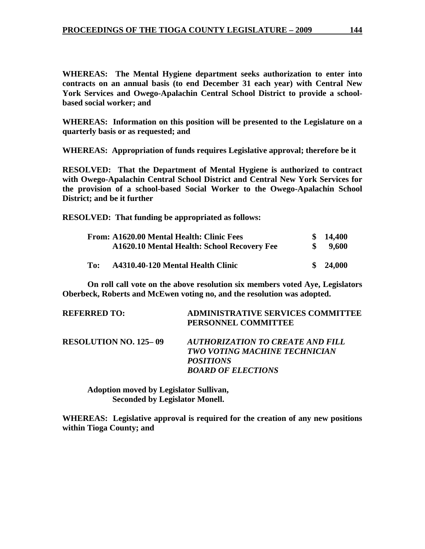**WHEREAS: The Mental Hygiene department seeks authorization to enter into contracts on an annual basis (to end December 31 each year) with Central New York Services and Owego-Apalachin Central School District to provide a schoolbased social worker; and** 

**WHEREAS: Information on this position will be presented to the Legislature on a quarterly basis or as requested; and** 

**WHEREAS: Appropriation of funds requires Legislative approval; therefore be it** 

**RESOLVED: That the Department of Mental Hygiene is authorized to contract with Owego-Apalachin Central School District and Central New York Services for the provision of a school-based Social Worker to the Owego-Apalachin School District; and be it further**

**RESOLVED: That funding be appropriated as follows:** 

|     | From: A1620.00 Mental Health: Clinic Fees<br>A1620.10 Mental Health: School Recovery Fee | \$14,400<br>9,600 |
|-----|------------------------------------------------------------------------------------------|-------------------|
| To: | A4310.40-120 Mental Health Clinic                                                        | \$24,000          |

**On roll call vote on the above resolution six members voted Aye, Legislators Oberbeck, Roberts and McEwen voting no, and the resolution was adopted.** 

| <b>REFERRED TO:</b>          | <b>ADMINISTRATIVE SERVICES COMMITTEE</b><br>PERSONNEL COMMITTEE                                                    |
|------------------------------|--------------------------------------------------------------------------------------------------------------------|
| <b>RESOLUTION NO. 125–09</b> | AUTHORIZATION TO CREATE AND FILL<br>TWO VOTING MACHINE TECHNICIAN<br><i>POSITIONS</i><br><b>BOARD OF ELECTIONS</b> |

 **Adoption moved by Legislator Sullivan, Seconded by Legislator Monell.** 

**WHEREAS: Legislative approval is required for the creation of any new positions within Tioga County; and**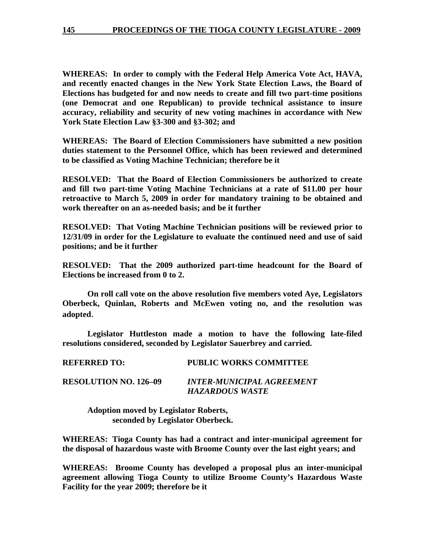**WHEREAS: In order to comply with the Federal Help America Vote Act, HAVA, and recently enacted changes in the New York State Election Laws, the Board of Elections has budgeted for and now needs to create and fill two part-time positions (one Democrat and one Republican) to provide technical assistance to insure accuracy, reliability and security of new voting machines in accordance with New York State Election Law §3-300 and §3-302; and** 

**WHEREAS: The Board of Election Commissioners have submitted a new position duties statement to the Personnel Office, which has been reviewed and determined to be classified as Voting Machine Technician; therefore be it** 

**RESOLVED: That the Board of Election Commissioners be authorized to create and fill two part-time Voting Machine Technicians at a rate of \$11.00 per hour retroactive to March 5, 2009 in order for mandatory training to be obtained and work thereafter on an as-needed basis; and be it further** 

**RESOLVED: That Voting Machine Technician positions will be reviewed prior to 12/31/09 in order for the Legislature to evaluate the continued need and use of said positions; and be it further** 

**RESOLVED: That the 2009 authorized part-time headcount for the Board of Elections be increased from 0 to 2.** 

**On roll call vote on the above resolution five members voted Aye, Legislators Oberbeck, Quinlan, Roberts and McEwen voting no, and the resolution was adopted**.

**Legislator Huttleston made a motion to have the following late-filed resolutions considered, seconded by Legislator Sauerbrey and carried.** 

*HAZARDOUS WASTE* 

**REFERRED TO: PUBLIC WORKS COMMITTEE RESOLUTION NO. 126–09** *INTER-MUNICIPAL AGREEMENT* 

 **Adoption moved by Legislator Roberts, seconded by Legislator Oberbeck.** 

**WHEREAS: Tioga County has had a contract and inter-municipal agreement for the disposal of hazardous waste with Broome County over the last eight years; and** 

**WHEREAS: Broome County has developed a proposal plus an inter-municipal agreement allowing Tioga County to utilize Broome County's Hazardous Waste Facility for the year 2009; therefore be it**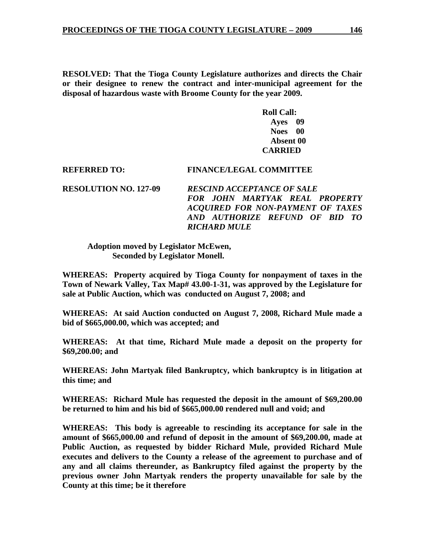**RESOLVED: That the Tioga County Legislature authorizes and directs the Chair or their designee to renew the contract and inter-municipal agreement for the disposal of hazardous waste with Broome County for the year 2009.** 

> **Roll Call: Ayes 09 Noes 00 Absent 00 CARRIED**

#### **REFERRED TO: FINANCE/LEGAL COMMITTEE**

**RESOLUTION NO. 127-09** *RESCIND ACCEPTANCE OF SALE FOR JOHN MARTYAK REAL PROPERTY ACQUIRED FOR NON-PAYMENT OF TAXES AND AUTHORIZE REFUND OF BID TO RICHARD MULE* 

#### **Adoption moved by Legislator McEwen, Seconded by Legislator Monell.**

**WHEREAS: Property acquired by Tioga County for nonpayment of taxes in the Town of Newark Valley, Tax Map# 43.00-1-31, was approved by the Legislature for sale at Public Auction, which was conducted on August 7, 2008; and** 

**WHEREAS: At said Auction conducted on August 7, 2008, Richard Mule made a bid of \$665,000.00, which was accepted; and** 

**WHEREAS: At that time, Richard Mule made a deposit on the property for \$69,200.00; and** 

**WHEREAS: John Martyak filed Bankruptcy, which bankruptcy is in litigation at this time; and** 

**WHEREAS: Richard Mule has requested the deposit in the amount of \$69,200.00 be returned to him and his bid of \$665,000.00 rendered null and void; and** 

**WHEREAS: This body is agreeable to rescinding its acceptance for sale in the amount of \$665,000.00 and refund of deposit in the amount of \$69,200.00, made at Public Auction, as requested by bidder Richard Mule, provided Richard Mule executes and delivers to the County a release of the agreement to purchase and of any and all claims thereunder, as Bankruptcy filed against the property by the previous owner John Martyak renders the property unavailable for sale by the County at this time; be it therefore**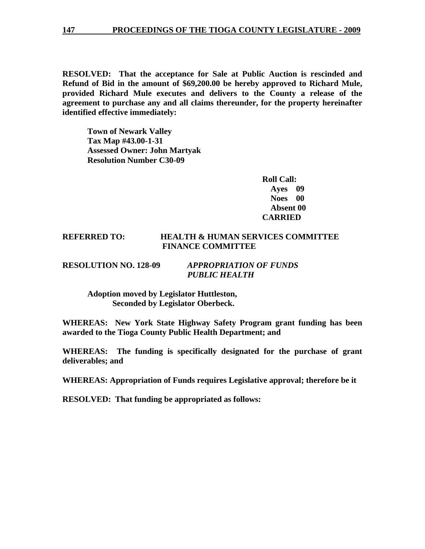#### **147 PROCEEDINGS OF THE TIOGA COUNTY LEGISLATURE - 2009**

**RESOLVED: That the acceptance for Sale at Public Auction is rescinded and Refund of Bid in the amount of \$69,200.00 be hereby approved to Richard Mule, provided Richard Mule executes and delivers to the County a release of the agreement to purchase any and all claims thereunder, for the property hereinafter identified effective immediately:** 

 **Town of Newark Valley Tax Map #43.00-1-31 Assessed Owner: John Martyak Resolution Number C30-09** 

> **Roll Call: Ayes 09 Noes 00 Absent 00 CARRIED**

# **REFERRED TO: HEALTH & HUMAN SERVICES COMMITTEE FINANCE COMMITTEE**

#### **RESOLUTION NO. 128-09** *APPROPRIATION OF FUNDS PUBLIC HEALTH*

 **Adoption moved by Legislator Huttleston, Seconded by Legislator Oberbeck.** 

**WHEREAS: New York State Highway Safety Program grant funding has been awarded to the Tioga County Public Health Department; and** 

**WHEREAS: The funding is specifically designated for the purchase of grant deliverables; and** 

**WHEREAS: Appropriation of Funds requires Legislative approval; therefore be it** 

**RESOLVED: That funding be appropriated as follows:**